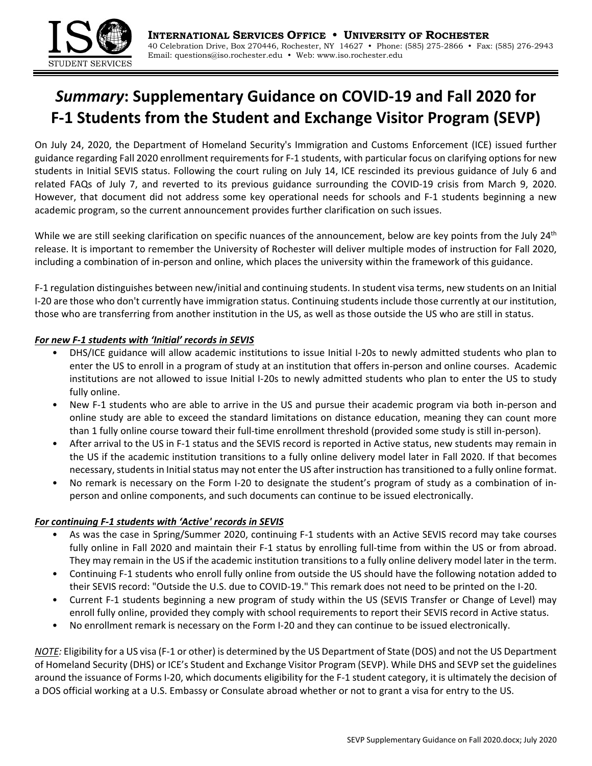

## *Summary***: Supplementary Guidance on COVID‐19 and Fall 2020 for F‐1 Students from the Student and Exchange Visitor Program (SEVP)**

On July 24, 2020, the Department of Homeland Security's Immigration and Customs Enforcement (ICE) issued further guidance regarding Fall 2020 enrollment requirements for F‐1 students, with particular focus on clarifying options for new students in Initial SEVIS status. Following the court ruling on July 14, ICE rescinded its previous guidance of July 6 and related FAQs of July 7, and reverted to its previous guidance surrounding the COVID‐19 crisis from March 9, 2020. However, that document did not address some key operational needs for schools and F‐1 students beginning a new academic program, so the current announcement provides further clarification on such issues.

While we are still seeking clarification on specific nuances of the announcement, below are key points from the July 24<sup>th</sup> release. It is important to remember the University of Rochester will deliver multiple modes of instruction for Fall 2020, including a combination of in‐person and online, which places the university within the framework of this guidance.

F‐1 regulation distinguishes between new/initial and continuing students. In student visa terms, new students on an Initial I‐20 are those who don't currently have immigration status. Continuing students include those currently at our institution, those who are transferring from another institution in the US, as well as those outside the US who are still in status.

## *For new F‐1 students with 'Initial' records in SEVIS*

- DHS/ICE guidance will allow academic institutions to issue Initial I‐20s to newly admitted students who plan to enter the US to enroll in a program of study at an institution that offers in-person and online courses. Academic institutions are not allowed to issue Initial I‐20s to newly admitted students who plan to enter the US to study fully online.
- New F-1 students who are able to arrive in the US and pursue their academic program via both in-person and online study are able to exceed the standard limitations on distance education, meaning they can count more than 1 fully online course toward their full-time enrollment threshold (provided some study is still in-person).
- After arrival to the US in F‐1 status and the SEVIS record is reported in Active status, new students may remain in the US if the academic institution transitions to a fully online delivery model later in Fall 2020. If that becomes necessary, students in Initial status may not enter the US after instruction has transitioned to a fully online format.
- No remark is necessary on the Form I‐20 to designate the student's program of study as a combination of in‐ person and online components, and such documents can continue to be issued electronically.

## *For continuing F‐1 students with 'Active' records in SEVIS*

- As was the case in Spring/Summer 2020, continuing F‐1 students with an Active SEVIS record may take courses fully online in Fall 2020 and maintain their F-1 status by enrolling full-time from within the US or from abroad. They may remain in the US if the academic institution transitions to a fully online delivery model later in the term.
- Continuing F‐1 students who enroll fully online from outside the US should have the following notation added to their SEVIS record: "Outside the U.S. due to COVID‐19." This remark does not need to be printed on the I‐20.
- Current F‐1 students beginning a new program of study within the US (SEVIS Transfer or Change of Level) may enroll fully online, provided they comply with school requirements to report their SEVIS record in Active status.
- No enrollment remark is necessary on the Form I‐20 and they can continue to be issued electronically.

*NOTE:* Eligibility for a US visa (F-1 or other) is determined by the US Department of State (DOS) and not the US Department of Homeland Security (DHS) or ICE's Student and Exchange Visitor Program (SEVP). While DHS and SEVP set the guidelines around the issuance of Forms I‐20, which documents eligibility for the F‐1 student category, it is ultimately the decision of a DOS official working at a U.S. Embassy or Consulate abroad whether or not to grant a visa for entry to the US.